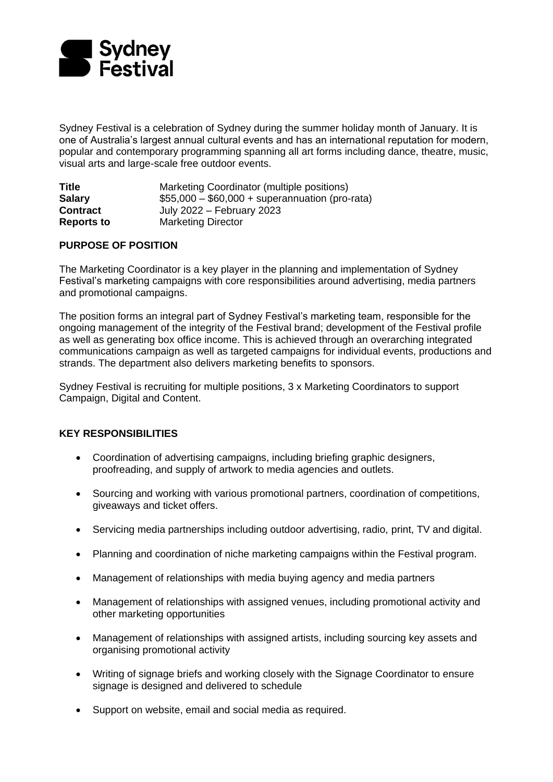

Sydney Festival is a celebration of Sydney during the summer holiday month of January. It is one of Australia's largest annual cultural events and has an international reputation for modern, popular and contemporary programming spanning all art forms including dance, theatre, music, visual arts and large-scale free outdoor events.

| <b>Title</b>      | Marketing Coordinator (multiple positions)      |
|-------------------|-------------------------------------------------|
| <b>Salary</b>     | $$55,000 - $60,000 + superannuation (pro-rata)$ |
| <b>Contract</b>   | July 2022 – February 2023                       |
| <b>Reports to</b> | <b>Marketing Director</b>                       |

## **PURPOSE OF POSITION**

The Marketing Coordinator is a key player in the planning and implementation of Sydney Festival's marketing campaigns with core responsibilities around advertising, media partners and promotional campaigns.

The position forms an integral part of Sydney Festival's marketing team, responsible for the ongoing management of the integrity of the Festival brand; development of the Festival profile as well as generating box office income. This is achieved through an overarching integrated communications campaign as well as targeted campaigns for individual events, productions and strands. The department also delivers marketing benefits to sponsors.

Sydney Festival is recruiting for multiple positions, 3 x Marketing Coordinators to support Campaign, Digital and Content.

## **KEY RESPONSIBILITIES**

- Coordination of advertising campaigns, including briefing graphic designers, proofreading, and supply of artwork to media agencies and outlets.
- Sourcing and working with various promotional partners, coordination of competitions, giveaways and ticket offers.
- Servicing media partnerships including outdoor advertising, radio, print, TV and digital.
- Planning and coordination of niche marketing campaigns within the Festival program.
- Management of relationships with media buying agency and media partners
- Management of relationships with assigned venues, including promotional activity and other marketing opportunities
- Management of relationships with assigned artists, including sourcing key assets and organising promotional activity
- Writing of signage briefs and working closely with the Signage Coordinator to ensure signage is designed and delivered to schedule
- Support on website, email and social media as required.